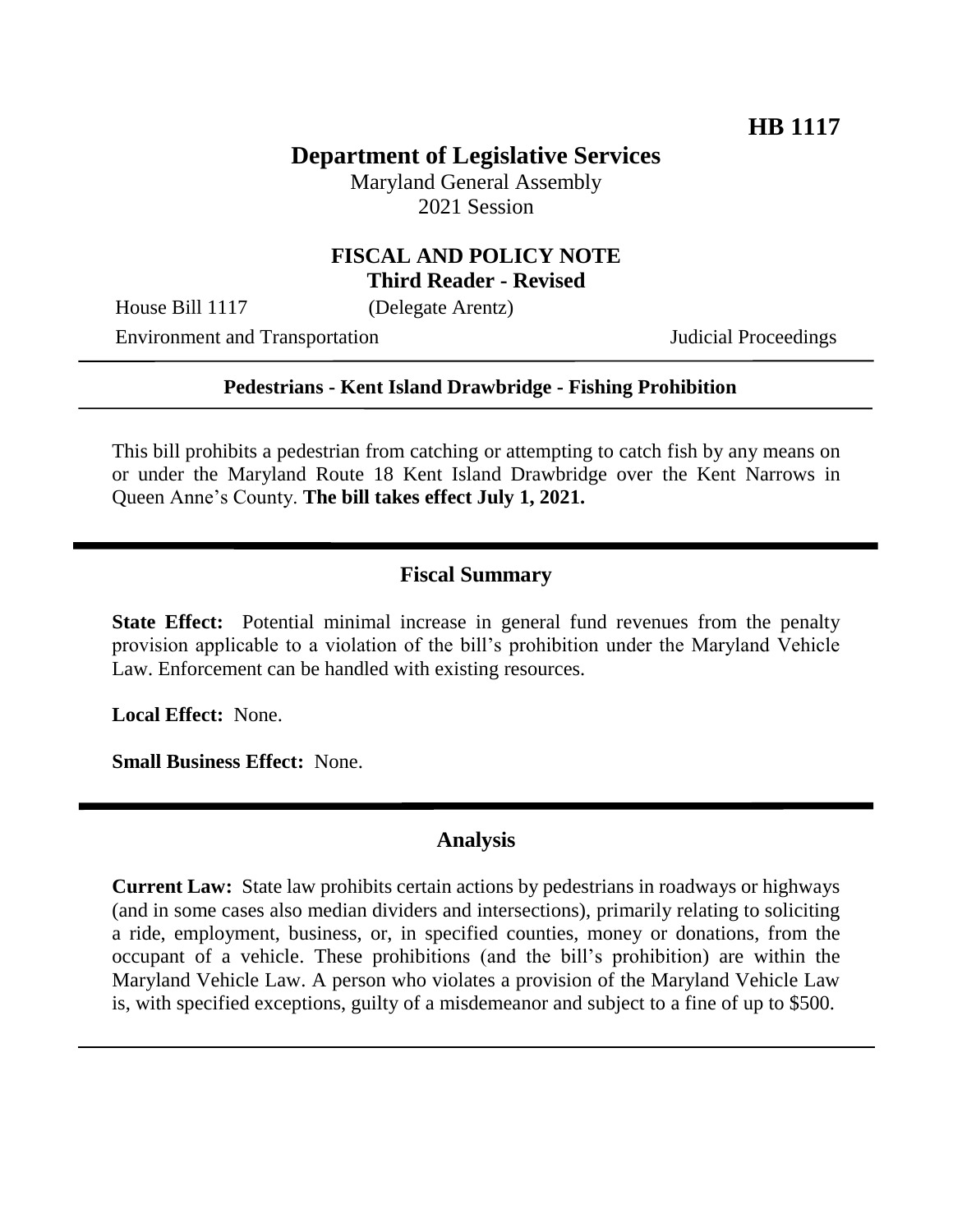# **Department of Legislative Services**

Maryland General Assembly 2021 Session

## **FISCAL AND POLICY NOTE Third Reader - Revised**

House Bill 1117 (Delegate Arentz)

Environment and Transportation Judicial Proceedings

#### **Pedestrians - Kent Island Drawbridge - Fishing Prohibition**

This bill prohibits a pedestrian from catching or attempting to catch fish by any means on or under the Maryland Route 18 Kent Island Drawbridge over the Kent Narrows in Queen Anne's County. **The bill takes effect July 1, 2021.**

## **Fiscal Summary**

**State Effect:** Potential minimal increase in general fund revenues from the penalty provision applicable to a violation of the bill's prohibition under the Maryland Vehicle Law. Enforcement can be handled with existing resources.

**Local Effect:** None.

**Small Business Effect:** None.

#### **Analysis**

**Current Law:** State law prohibits certain actions by pedestrians in roadways or highways (and in some cases also median dividers and intersections), primarily relating to soliciting a ride, employment, business, or, in specified counties, money or donations, from the occupant of a vehicle. These prohibitions (and the bill's prohibition) are within the Maryland Vehicle Law. A person who violates a provision of the Maryland Vehicle Law is, with specified exceptions, guilty of a misdemeanor and subject to a fine of up to \$500.